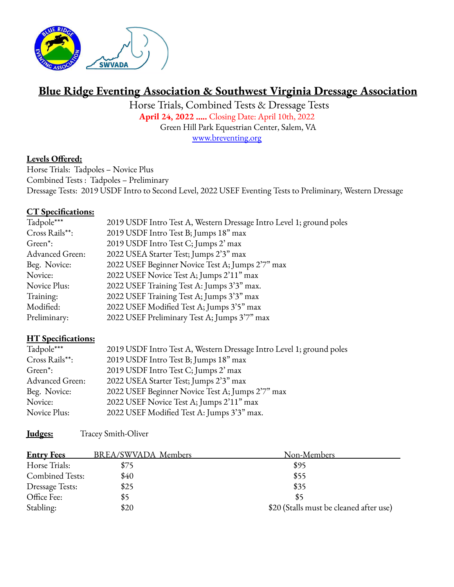

# **Blue Ridge Eventing Association & Southwest Virginia Dressage Association**

Horse Trials, Combined Tests & Dressage Tests **April 24, 2022 …..** Closing Date: April 10th, 2022 Green Hill Park Equestrian Center, Salem, VA [www.breventing.org](http://www.breventing.org)

#### **Levels Offered:**

Horse Trials: Tadpoles – Novice Plus Combined Tests : Tadpoles – Preliminary Dressage Tests: 2019 USDF Intro to Second Level, 2022 USEF Eventing Tests to Preliminary, Western Dressage

#### **CT Specifications:**

| Tadpole***           | 2019 USDF Intro Test A, Western Dressage Intro Level 1; ground poles |  |
|----------------------|----------------------------------------------------------------------|--|
| Cross Rails**:       | 2019 USDF Intro Test B; Jumps 18" max                                |  |
| Green <sup>*</sup> : | 2019 USDF Intro Test C; Jumps 2' max                                 |  |
| Advanced Green:      | 2022 USEA Starter Test; Jumps 2'3" max                               |  |
| Beg. Novice:         | 2022 USEF Beginner Novice Test A; Jumps 2'7" max                     |  |
| Novice:              | 2022 USEF Novice Test A; Jumps 2'11" max                             |  |
| Novice Plus:         | 2022 USEF Training Test A: Jumps 3'3" max.                           |  |
| Training:            | 2022 USEF Training Test A; Jumps 3'3" max                            |  |
| Modified:            | 2022 USEF Modified Test A; Jumps 3'5" max                            |  |
| Preliminary:         | 2022 USEF Preliminary Test A; Jumps 3'7" max                         |  |

## **HT Specifications:**

| Tadpole***           | 2019 USDF Intro Test A, Western Dressage Intro Level 1; ground poles |  |
|----------------------|----------------------------------------------------------------------|--|
| Cross Rails**:       | 2019 USDF Intro Test B; Jumps 18" max                                |  |
| Green <sup>*</sup> : | 2019 USDF Intro Test C; Jumps 2' max                                 |  |
| Advanced Green:      | 2022 USEA Starter Test; Jumps 2'3" max                               |  |
| Beg. Novice:         | 2022 USEF Beginner Novice Test A; Jumps 2'7" max                     |  |
| Novice:              | 2022 USEF Novice Test A; Jumps 2'11" max                             |  |
| Novice Plus:         | 2022 USEF Modified Test A: Jumps 3'3" max.                           |  |

**Judges:** Tracey Smith-Oliver

| <b>Entry Fees</b>      | BREA/SWVADA Members | Non-Members                             |
|------------------------|---------------------|-----------------------------------------|
| Horse Trials:          | \$75                | \$95                                    |
| <b>Combined Tests:</b> | \$40                | \$55                                    |
| <b>Dressage Tests:</b> | \$25                | \$35                                    |
| Office Fee:            | 85                  | \$5                                     |
| Stabling:              | \$20                | \$20 (Stalls must be cleaned after use) |